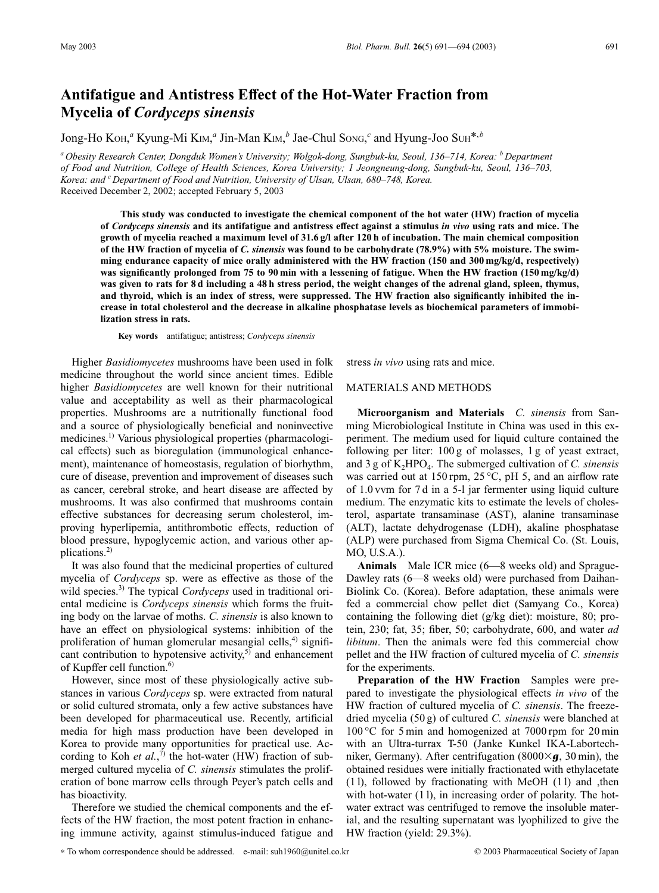## **Antifatigue and Antistress Effect of the Hot-Water Fraction from Mycelia of** *Cordyceps sinensis*

Jong-Ho Koh,<sup>*a*</sup> Kyung-Mi K<sub>IM</sub>,<sup>*a*</sup> Jin-Man K<sub>IM</sub>,<sup>*b*</sup> Jae-Chul Song,<sup>*c*</sup> and Hyung-Joo Suh<sup>\*,*b*</sup>

*<sup>a</sup> Obesity Research Center, Dongduk Women's University; Wolgok-dong, Sungbuk-ku, Seoul, 136–714, Korea: <sup>b</sup> Department of Food and Nutrition, College of Health Sciences, Korea University; 1 Jeongneung-dong, Sungbuk-ku, Seoul, 136–703, Korea: and c Department of Food and Nutrition, University of Ulsan, Ulsan, 680–748, Korea.* Received December 2, 2002; accepted February 5, 2003

**This study was conducted to investigate the chemical component of the hot water (HW) fraction of mycelia of** *Cordyceps sinensis* **and its antifatigue and antistress effect against a stimulus** *in vivo* **using rats and mice. The growth of mycelia reached a maximum level of 31.6 g/l after 120 h of incubation. The main chemical composition of the HW fraction of mycelia of** *C. sinensis* **was found to be carbohydrate (78.9%) with 5% moisture. The swimming endurance capacity of mice orally administered with the HW fraction (150 and 300 mg/kg/d, respectively) was significantly prolonged from 75 to 90 min with a lessening of fatigue. When the HW fraction (150 mg/kg/d) was given to rats for 8 d including a 48 h stress period, the weight changes of the adrenal gland, spleen, thymus, and thyroid, which is an index of stress, were suppressed. The HW fraction also significantly inhibited the increase in total cholesterol and the decrease in alkaline phosphatase levels as biochemical parameters of immobilization stress in rats.**

**Key words** antifatigue; antistress; *Cordyceps sinensis*

Higher *Basidiomycetes* mushrooms have been used in folk medicine throughout the world since ancient times. Edible higher *Basidiomycetes* are well known for their nutritional value and acceptability as well as their pharmacological properties. Mushrooms are a nutritionally functional food and a source of physiologically beneficial and noninvective medicines.1) Various physiological properties (pharmacological effects) such as bioregulation (immunological enhancement), maintenance of homeostasis, regulation of biorhythm, cure of disease, prevention and improvement of diseases such as cancer, cerebral stroke, and heart disease are affected by mushrooms. It was also confirmed that mushrooms contain effective substances for decreasing serum cholesterol, improving hyperlipemia, antithrombotic effects, reduction of blood pressure, hypoglycemic action, and various other applications.2)

It was also found that the medicinal properties of cultured mycelia of *Cordyceps* sp. were as effective as those of the wild species.<sup>3)</sup> The typical *Cordyceps* used in traditional oriental medicine is *Cordyceps sinensis* which forms the fruiting body on the larvae of moths. *C. sinensis* is also known to have an effect on physiological systems: inhibition of the proliferation of human glomerular mesangial cells, $4$ ) significant contribution to hypotensive activity, $5$  and enhancement of Kupffer cell function.<sup>6)</sup>

However, since most of these physiologically active substances in various *Cordyceps* sp. were extracted from natural or solid cultured stromata, only a few active substances have been developed for pharmaceutical use. Recently, artificial media for high mass production have been developed in Korea to provide many opportunities for practical use. According to Koh *et al.*,<sup>7)</sup> the hot-water (HW) fraction of submerged cultured mycelia of *C. sinensis* stimulates the proliferation of bone marrow cells through Peyer's patch cells and has bioactivity.

Therefore we studied the chemical components and the effects of the HW fraction, the most potent fraction in enhancing immune activity, against stimulus-induced fatigue and stress *in vivo* using rats and mice.

## MATERIALS AND METHODS

**Microorganism and Materials** *C. sinensis* from Sanming Microbiological Institute in China was used in this experiment. The medium used for liquid culture contained the following per liter: 100 g of molasses, 1 g of yeast extract, and 3 g of K<sub>2</sub>HPO<sub>4</sub>. The submerged cultivation of *C. sinensis* was carried out at 150 rpm, 25 °C, pH 5, and an airflow rate of 1.0 vvm for 7 d in a 5-l jar fermenter using liquid culture medium. The enzymatic kits to estimate the levels of cholesterol, aspartate transaminase (AST), alanine transaminase (ALT), lactate dehydrogenase (LDH), akaline phosphatase (ALP) were purchased from Sigma Chemical Co. (St. Louis, MO, U.S.A.).

**Animals** Male ICR mice (6—8 weeks old) and Sprague-Dawley rats (6—8 weeks old) were purchased from Daihan-Biolink Co. (Korea). Before adaptation, these animals were fed a commercial chow pellet diet (Samyang Co., Korea) containing the following diet (g/kg diet): moisture, 80; protein, 230; fat, 35; fiber, 50; carbohydrate, 600, and water *ad libitum*. Then the animals were fed this commercial chow pellet and the HW fraction of cultured mycelia of *C. sinensis* for the experiments.

**Preparation of the HW Fraction** Samples were prepared to investigate the physiological effects *in vivo* of the HW fraction of cultured mycelia of *C. sinensis*. The freezedried mycelia (50 g) of cultured *C. sinensis* were blanched at 100 °C for 5 min and homogenized at 7000 rpm for 20 min with an Ultra-turrax T-50 (Janke Kunkel IKA-Labortechniker, Germany). After centrifugation (8000 $\times$ **g**, 30 min), the obtained residues were initially fractionated with ethylacetate (1 l), followed by fractionating with MeOH (1 l) and ,then with hot-water (11), in increasing order of polarity. The hotwater extract was centrifuged to remove the insoluble material, and the resulting supernatant was lyophilized to give the HW fraction (yield: 29.3%).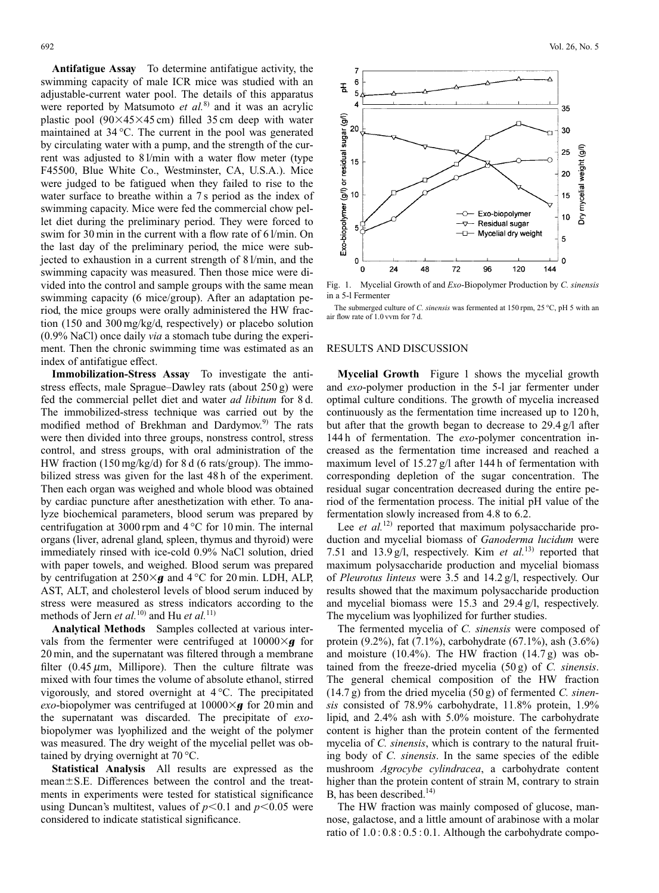**Antifatigue Assay** To determine antifatigue activity, the swimming capacity of male ICR mice was studied with an adjustable-current water pool. The details of this apparatus were reported by Matsumoto *et al.*<sup>8)</sup> and it was an acrylic plastic pool  $(90\times45\times45 \text{ cm})$  filled 35 cm deep with water maintained at 34 °C. The current in the pool was generated by circulating water with a pump, and the strength of the current was adjusted to 8 l/min with a water flow meter (type F45500, Blue White Co., Westminster, CA, U.S.A.). Mice were judged to be fatigued when they failed to rise to the water surface to breathe within a 7s period as the index of swimming capacity. Mice were fed the commercial chow pellet diet during the preliminary period. They were forced to swim for 30 min in the current with a flow rate of 6 l/min. On the last day of the preliminary period, the mice were subjected to exhaustion in a current strength of 8 l/min, and the swimming capacity was measured. Then those mice were divided into the control and sample groups with the same mean swimming capacity (6 mice/group). After an adaptation period, the mice groups were orally administered the HW fraction (150 and 300 mg/kg/d, respectively) or placebo solution (0.9% NaCl) once daily *via* a stomach tube during the experiment. Then the chronic swimming time was estimated as an index of antifatigue effect.

**Immobilization-Stress Assay** To investigate the antistress effects, male Sprague–Dawley rats (about 250 g) were fed the commercial pellet diet and water *ad libitum* for 8 d. The immobilized-stress technique was carried out by the modified method of Brekhman and Dardymov.<sup>9)</sup> The rats were then divided into three groups, nonstress control, stress control, and stress groups, with oral administration of the HW fraction (150 mg/kg/d) for 8 d (6 rats/group). The immobilized stress was given for the last 48 h of the experiment. Then each organ was weighed and whole blood was obtained by cardiac puncture after anesthetization with ether. To analyze biochemical parameters, blood serum was prepared by centrifugation at 3000 rpm and 4 °C for 10 min. The internal organs (liver, adrenal gland, spleen, thymus and thyroid) were immediately rinsed with ice-cold 0.9% NaCl solution, dried with paper towels, and weighed. Blood serum was prepared by centrifugation at  $250\times g$  and  $4^{\circ}$ C for 20 min. LDH, ALP, AST, ALT, and cholesterol levels of blood serum induced by stress were measured as stress indicators according to the methods of Jern *et al.*<sup>10</sup> and Hu *et al.*<sup>11</sup>)

**Analytical Methods** Samples collected at various intervals from the fermenter were centrifuged at  $10000 \times g$  for 20 min, and the supernatant was filtered through a membrane filter (0.45  $\mu$ m, Millipore). Then the culture filtrate was mixed with four times the volume of absolute ethanol, stirred vigorously, and stored overnight at 4 °C. The precipitated *exo*-biopolymer was centrifuged at  $10000 \times g$  for 20 min and the supernatant was discarded. The precipitate of *exo*biopolymer was lyophilized and the weight of the polymer was measured. The dry weight of the mycelial pellet was obtained by drying overnight at 70 °C.

**Statistical Analysis** All results are expressed as the mean $\pm$ S.E. Differences between the control and the treatments in experiments were tested for statistical significance using Duncan's multitest, values of  $p<0.1$  and  $p<0.05$  were considered to indicate statistical significance.



Fig. 1. Mycelial Growth of and *Exo*-Biopolymer Production by *C. sinensis* in a 5-l Fermenter

The submerged culture of *C. sinensis* was fermented at 150 rpm, 25 °C, pH 5 with an air flow rate of 1.0 vvm for 7 d.

## RESULTS AND DISCUSSION

**Mycelial Growth** Figure 1 shows the mycelial growth and *exo*-polymer production in the 5-l jar fermenter under optimal culture conditions. The growth of mycelia increased continuously as the fermentation time increased up to 120 h, but after that the growth began to decrease to 29.4 g/l after 144 h of fermentation. The *exo*-polymer concentration increased as the fermentation time increased and reached a maximum level of 15.27 g/l after 144 h of fermentation with corresponding depletion of the sugar concentration. The residual sugar concentration decreased during the entire period of the fermentation process. The initial pH value of the fermentation slowly increased from 4.8 to 6.2.

Lee *et al.*<sup>12)</sup> reported that maximum polysaccharide production and mycelial biomass of *Ganoderma lucidum* were 7.51 and 13.9 g/l, respectively. Kim *et al.*13) reported that maximum polysaccharide production and mycelial biomass of *Pleurotus linteus* were 3.5 and 14.2 g/l, respectively. Our results showed that the maximum polysaccharide production and mycelial biomass were 15.3 and 29.4 g/l, respectively. The mycelium was lyophilized for further studies.

The fermented mycelia of *C. sinensis* were composed of protein (9.2%), fat (7.1%), carbohydrate (67.1%), ash (3.6%) and moisture (10.4%). The HW fraction (14.7 g) was obtained from the freeze-dried mycelia (50 g) of *C. sinensis*. The general chemical composition of the HW fraction (14.7 g) from the dried mycelia (50 g) of fermented *C. sinensis* consisted of 78.9% carbohydrate, 11.8% protein, 1.9% lipid, and 2.4% ash with 5.0% moisture. The carbohydrate content is higher than the protein content of the fermented mycelia of *C. sinensis*, which is contrary to the natural fruiting body of *C. sinensis*. In the same species of the edible mushroom *Agrocybe cylindracea*, a carbohydrate content higher than the protein content of strain M, contrary to strain B, has been described.<sup>14)</sup>

The HW fraction was mainly composed of glucose, mannose, galactose, and a little amount of arabinose with a molar ratio of 1.0 : 0.8 : 0.5 : 0.1. Although the carbohydrate compo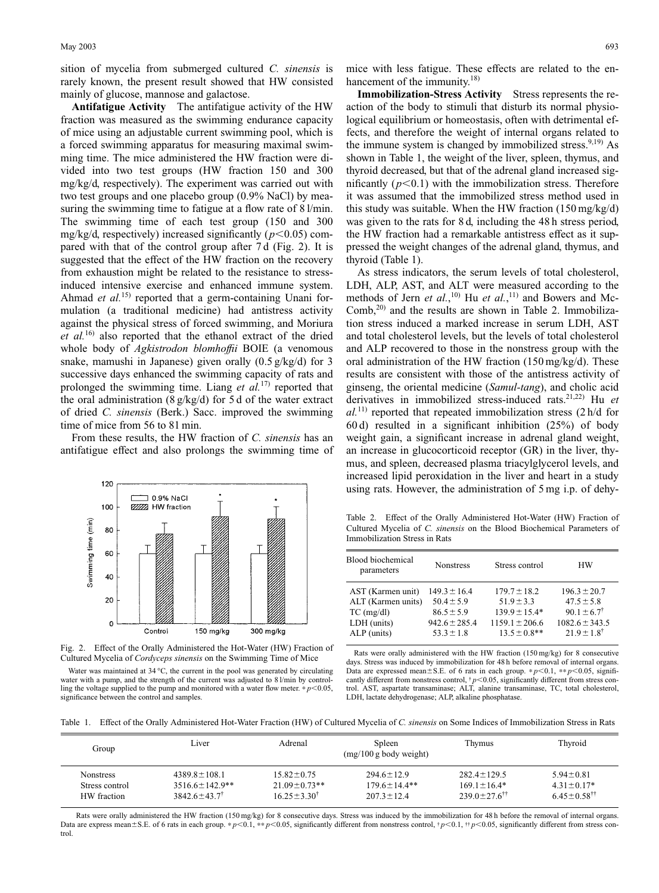sition of mycelia from submerged cultured *C. sinensis* is rarely known, the present result showed that HW consisted mainly of glucose, mannose and galactose.

**Antifatigue Activity** The antifatigue activity of the HW fraction was measured as the swimming endurance capacity of mice using an adjustable current swimming pool, which is a forced swimming apparatus for measuring maximal swimming time. The mice administered the HW fraction were divided into two test groups (HW fraction 150 and 300 mg/kg/d, respectively). The experiment was carried out with two test groups and one placebo group (0.9% NaCl) by measuring the swimming time to fatigue at a flow rate of 8 l/min. The swimming time of each test group (150 and 300 mg/kg/d, respectively) increased significantly  $(p<0.05)$  compared with that of the control group after 7 d (Fig. 2). It is suggested that the effect of the HW fraction on the recovery from exhaustion might be related to the resistance to stressinduced intensive exercise and enhanced immune system. Ahmad *et al.*<sup>15)</sup> reported that a germ-containing Unani formulation (a traditional medicine) had antistress activity against the physical stress of forced swimming, and Moriura *et al.*16) also reported that the ethanol extract of the dried whole body of *Agkistrodon blomhoffii* BOIE (a venomous snake, mamushi in Japanese) given orally (0.5 g/kg/d) for 3 successive days enhanced the swimming capacity of rats and prolonged the swimming time. Liang *et al.*17) reported that the oral administration  $(8 \frac{g}{kg/d})$  for 5 d of the water extract of dried *C. sinensis* (Berk.) Sacc. improved the swimming time of mice from 56 to 81 min.

From these results, the HW fraction of *C. sinensis* has an antifatigue effect and also prolongs the swimming time of



Fig. 2. Effect of the Orally Administered the Hot-Water (HW) Fraction of Cultured Mycelia of *Cordyceps sinensis* on the Swimming Time of Mice

Water was maintained at 34 °C, the current in the pool was generated by circulating water with a pump, and the strength of the current was adjusted to 8 l/min by controlling the voltage supplied to the pump and monitored with a water flow meter.  $* p<0.05$ , significance between the control and samples.

mice with less fatigue. These effects are related to the enhancement of the immunity.<sup>18)</sup>

**Immobilization-Stress Activity** Stress represents the reaction of the body to stimuli that disturb its normal physiological equilibrium or homeostasis, often with detrimental effects, and therefore the weight of internal organs related to the immune system is changed by immobilized stress.<sup>9,19)</sup> As shown in Table 1, the weight of the liver, spleen, thymus, and thyroid decreased, but that of the adrenal gland increased significantly  $(p<0.1)$  with the immobilization stress. Therefore it was assumed that the immobilized stress method used in this study was suitable. When the HW fraction (150 mg/kg/d) was given to the rats for 8 d, including the 48 h stress period, the HW fraction had a remarkable antistress effect as it suppressed the weight changes of the adrenal gland, thymus, and thyroid (Table 1).

As stress indicators, the serum levels of total cholesterol, LDH, ALP, AST, and ALT were measured according to the methods of Jern *et al.*,<sup>10</sup> Hu *et al.*,<sup>11</sup> and Bowers and Mc-Comb,<sup>20)</sup> and the results are shown in Table 2. Immobilization stress induced a marked increase in serum LDH, AST and total cholesterol levels, but the levels of total cholesterol and ALP recovered to those in the nonstress group with the oral administration of the HW fraction (150 mg/kg/d). These results are consistent with those of the antistress activity of ginseng, the oriental medicine (*Samul-tang*), and cholic acid derivatives in immobilized stress-induced rats.21,22) Hu *et*  $aL^{11}$  reported that repeated immobilization stress  $(2 h/d)$  for 60 d) resulted in a significant inhibition (25%) of body weight gain, a significant increase in adrenal gland weight, an increase in glucocorticoid receptor (GR) in the liver, thymus, and spleen, decreased plasma triacylglycerol levels, and increased lipid peroxidation in the liver and heart in a study using rats. However, the administration of 5 mg i.p. of dehy-

Table 2. Effect of the Orally Administered Hot-Water (HW) Fraction of Cultured Mycelia of *C. sinensis* on the Blood Biochemical Parameters of Immobilization Stress in Rats

| Blood biochemical<br>parameters                                                       | <b>Nonstress</b>                                                                            | Stress control                                                                                     | НW                                                                                                                  |
|---------------------------------------------------------------------------------------|---------------------------------------------------------------------------------------------|----------------------------------------------------------------------------------------------------|---------------------------------------------------------------------------------------------------------------------|
| AST (Karmen unit)<br>ALT (Karmen units)<br>$TC$ (mg/dl)<br>LDH (units)<br>ALP (units) | $149.3 \pm 16.4$<br>$50.4 \pm 5.9$<br>$86.5 \pm 5.9$<br>$942.6 \pm 285.4$<br>$53.3 \pm 1.8$ | $179.7 \pm 18.2$<br>$51.9 \pm 3.3$<br>$139.9 \pm 15.4*$<br>$1159.1 \pm 206.6$<br>$13.5 \pm 0.8$ ** | $196.3 \pm 20.7$<br>$47.5 \pm 5.8$<br>$90.1 \pm 6.7^{\dagger}$<br>$1082.6 \pm 343.5$<br>$21.9 \pm 1.8$ <sup>†</sup> |

Rats were orally administered with the HW fraction (150 mg/kg) for 8 consecutive days. Stress was induced by immobilization for 48 h before removal of internal organs. Data are expressed mean $\pm$ S.E. of 6 rats in each group.  $* p$ <0.1,  $* p$ <0.05, significantly different from nonstress control,  $\frac{1}{p}$  < 0.05, significantly different from stress control. AST, aspartate transaminase; ALT, alanine transaminase, TC, total cholesterol, LDH, lactate dehydrogenase; ALP, alkaline phosphatase.

Table 1. Effect of the Orally Administered Hot-Water Fraction (HW) of Cultured Mycelia of *C. sinensis* on Some Indices of Immobilization Stress in Rats

| Group            | Liver                       | Adrenal                  | Spleen<br>$(mg/100 g$ body weight) | Thymus                            | Thyroid                     |
|------------------|-----------------------------|--------------------------|------------------------------------|-----------------------------------|-----------------------------|
| <b>Nonstress</b> | $4389.8 \pm 108.1$          | $1582+075$               | $2946+129$                         | $282.4 + 129.5$                   | $5.94 \pm 0.81$             |
| Stress control   | $3516.6 \pm 142.9$ **       | $21.09 \pm 0.73**$       | $179.6 \pm 14.4**$                 | $169.1 \pm 16.4*$                 | $4.31 \pm 0.17*$            |
| HW fraction      | $3842.6 \pm 43.7^{\dagger}$ | $16.25 + 3.30^{\dagger}$ | $207.3 \pm 12.4$                   | $239.0 \pm 27.6^{\dagger\dagger}$ | $6.45 + 0.58$ <sup>††</sup> |

Rats were orally administered the HW fraction (150 mg/kg) for 8 consecutive days. Stress was induced by the immobilization for 48 h before the removal of internal organs. Data are express mean±S.E. of 6 rats in each group. \*  $p$ <0.1, \*\*  $p$ <0.05, significantly different from nonstress control,  $\uparrow p$ <0.1,  $\uparrow p$ <0.05, significantly different from stress control.